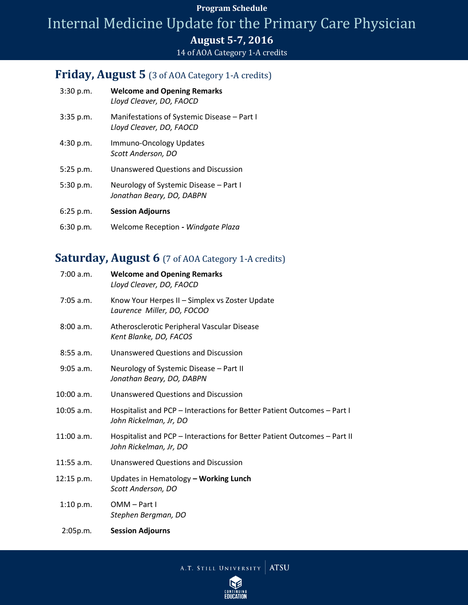#### **Program Schedule**

# Internal Medicine Update for the Primary Care Physician

### **August 5-7, 2016**

#### 14 of AOA Category 1-A credits

### **Friday, August 5** (3 of AOA Category 1-A credits)

| 3:30 p.m.   | <b>Welcome and Opening Remarks</b><br>Lloyd Cleaver, DO, FAOCD          |
|-------------|-------------------------------------------------------------------------|
| $3:35$ p.m. | Manifestations of Systemic Disease - Part I<br>Lloyd Cleaver, DO, FAOCD |
| 4:30 p.m.   | Immuno-Oncology Updates<br>Scott Anderson. DO                           |
| 5:25 p.m.   | Unanswered Questions and Discussion                                     |
| 5:30 p.m.   | Neurology of Systemic Disease – Part I<br>Jonathan Beary, DO, DABPN     |
| 6:25 p.m.   | <b>Session Adjourns</b>                                                 |
| 6:30 p.m.   | Welcome Reception - Windgate Plaza                                      |

# Saturday, August 6 (7 of AOA Category 1-A credits)

| $7:00$ a.m.  | <b>Welcome and Opening Remarks</b><br>Lloyd Cleaver, DO, FAOCD                                     |
|--------------|----------------------------------------------------------------------------------------------------|
| $7:05$ a.m.  | Know Your Herpes II - Simplex vs Zoster Update<br>Laurence Miller, DO, FOCOO                       |
| 8:00 a.m.    | Atherosclerotic Peripheral Vascular Disease<br>Kent Blanke, DO, FACOS                              |
| $8:55$ a.m.  | <b>Unanswered Questions and Discussion</b>                                                         |
| $9:05$ a.m.  | Neurology of Systemic Disease - Part II<br>Jonathan Beary, DO, DABPN                               |
| 10:00 a.m.   | <b>Unanswered Questions and Discussion</b>                                                         |
| $10:05$ a.m. | Hospitalist and PCP - Interactions for Better Patient Outcomes - Part I<br>John Rickelman, Jr, DO  |
| $11:00$ a.m. | Hospitalist and PCP - Interactions for Better Patient Outcomes - Part II<br>John Rickelman, Jr, DO |
| $11:55$ a.m. | Unanswered Questions and Discussion                                                                |
| $12:15$ p.m. | Updates in Hematology - Working Lunch<br>Scott Anderson, DO                                        |
| 1:10 p.m.    | OMM-Part I<br>Stephen Bergman, DO                                                                  |
| 2:05p.m.     | <b>Session Adjourns</b>                                                                            |

A.T. STILL UNIVERSITY ATSU